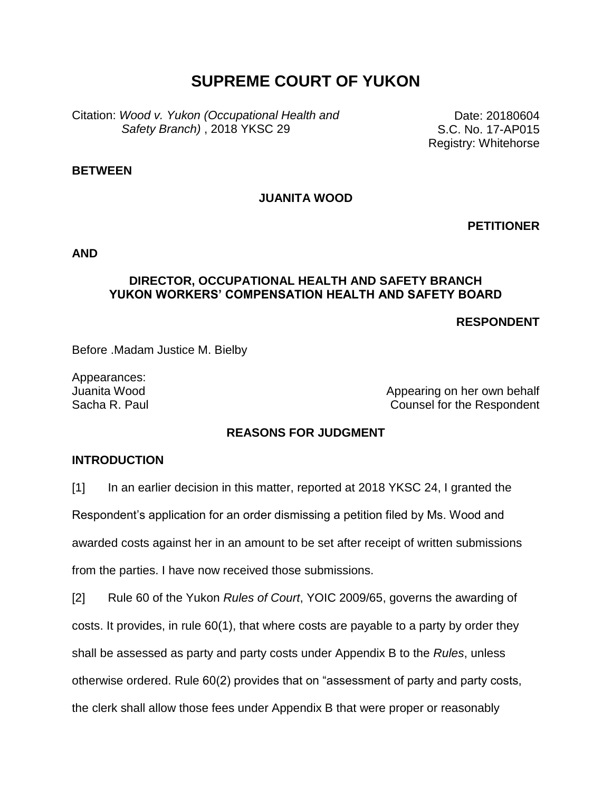# **SUPREME COURT OF YUKON**

Citation: *Wood v. Yukon (Occupational Health and Safety Branch)* , 2018 YKSC 29

Date: 20180604 S.C. No. 17-AP015 Registry: Whitehorse

#### **BETWEEN**

## **JUANITA WOOD**

**PETITIONER**

**AND**

#### **DIRECTOR, OCCUPATIONAL HEALTH AND SAFETY BRANCH YUKON WORKERS' COMPENSATION HEALTH AND SAFETY BOARD**

**RESPONDENT**

Before .Madam Justice M. Bielby

Appearances:

Juanita Wood **Appearing on her own behalf** Sacha R. Paul Counsel for the Respondent

## **REASONS FOR JUDGMENT**

### **INTRODUCTION**

[1] In an earlier decision in this matter, reported at 2018 YKSC 24, I granted the

Respondent's application for an order dismissing a petition filed by Ms. Wood and

awarded costs against her in an amount to be set after receipt of written submissions

from the parties. I have now received those submissions.

[2] Rule 60 of the Yukon *Rules of Court*, YOIC 2009/65, governs the awarding of costs. It provides, in rule 60(1), that where costs are payable to a party by order they shall be assessed as party and party costs under Appendix B to the *Rules*, unless otherwise ordered. Rule 60(2) provides that on "assessment of party and party costs, the clerk shall allow those fees under Appendix B that were proper or reasonably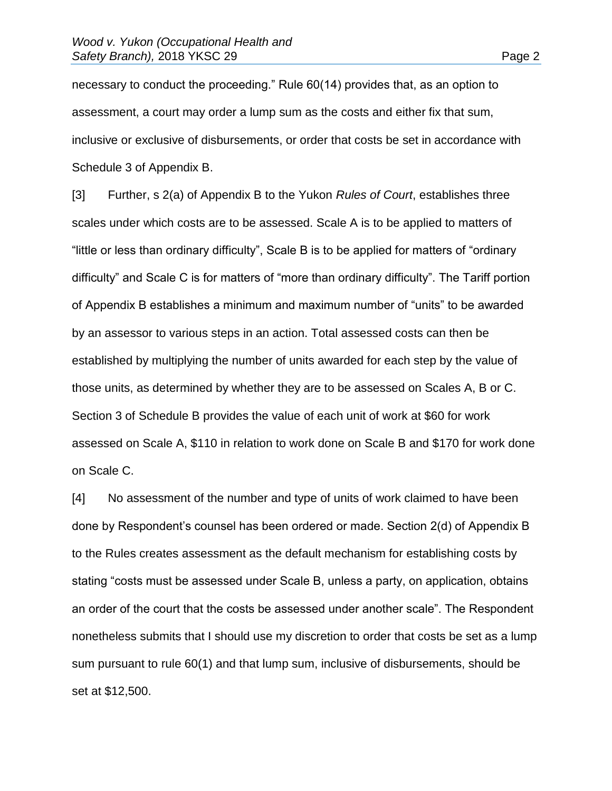necessary to conduct the proceeding." Rule 60(14) provides that, as an option to assessment, a court may order a lump sum as the costs and either fix that sum, inclusive or exclusive of disbursements, or order that costs be set in accordance with Schedule 3 of Appendix B.

[3] Further, s 2(a) of Appendix B to the Yukon *Rules of Court*, establishes three scales under which costs are to be assessed. Scale A is to be applied to matters of "little or less than ordinary difficulty", Scale B is to be applied for matters of "ordinary difficulty" and Scale C is for matters of "more than ordinary difficulty". The Tariff portion of Appendix B establishes a minimum and maximum number of "units" to be awarded by an assessor to various steps in an action. Total assessed costs can then be established by multiplying the number of units awarded for each step by the value of those units, as determined by whether they are to be assessed on Scales A, B or C. Section 3 of Schedule B provides the value of each unit of work at \$60 for work assessed on Scale A, \$110 in relation to work done on Scale B and \$170 for work done on Scale C.

[4] No assessment of the number and type of units of work claimed to have been done by Respondent's counsel has been ordered or made. Section 2(d) of Appendix B to the Rules creates assessment as the default mechanism for establishing costs by stating "costs must be assessed under Scale B, unless a party, on application, obtains an order of the court that the costs be assessed under another scale". The Respondent nonetheless submits that I should use my discretion to order that costs be set as a lump sum pursuant to rule 60(1) and that lump sum, inclusive of disbursements, should be set at \$12,500.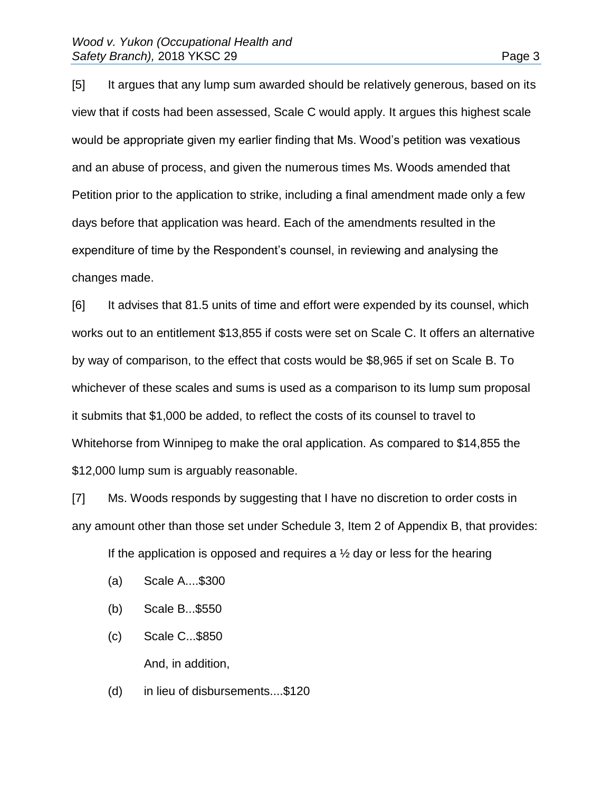[5] It argues that any lump sum awarded should be relatively generous, based on its view that if costs had been assessed, Scale C would apply. It argues this highest scale would be appropriate given my earlier finding that Ms. Wood's petition was vexatious and an abuse of process, and given the numerous times Ms. Woods amended that Petition prior to the application to strike, including a final amendment made only a few days before that application was heard. Each of the amendments resulted in the expenditure of time by the Respondent's counsel, in reviewing and analysing the changes made.

[6] It advises that 81.5 units of time and effort were expended by its counsel, which works out to an entitlement \$13,855 if costs were set on Scale C. It offers an alternative by way of comparison, to the effect that costs would be \$8,965 if set on Scale B. To whichever of these scales and sums is used as a comparison to its lump sum proposal it submits that \$1,000 be added, to reflect the costs of its counsel to travel to Whitehorse from Winnipeg to make the oral application. As compared to \$14,855 the \$12,000 lump sum is arguably reasonable.

[7] Ms. Woods responds by suggesting that I have no discretion to order costs in any amount other than those set under Schedule 3, Item 2 of Appendix B, that provides:

If the application is opposed and requires a  $\frac{1}{2}$  day or less for the hearing

- (a) Scale A....\$300
- (b) Scale B...\$550
- (c) Scale C...\$850 And, in addition,
- (d) in lieu of disbursements....\$120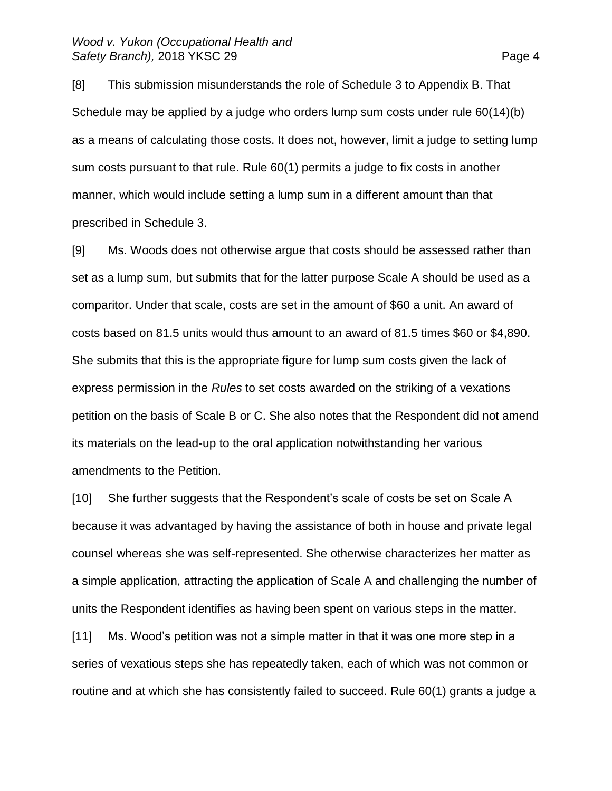[8] This submission misunderstands the role of Schedule 3 to Appendix B. That Schedule may be applied by a judge who orders lump sum costs under rule 60(14)(b) as a means of calculating those costs. It does not, however, limit a judge to setting lump sum costs pursuant to that rule. Rule 60(1) permits a judge to fix costs in another manner, which would include setting a lump sum in a different amount than that

prescribed in Schedule 3.

[9] Ms. Woods does not otherwise argue that costs should be assessed rather than set as a lump sum, but submits that for the latter purpose Scale A should be used as a comparitor. Under that scale, costs are set in the amount of \$60 a unit. An award of costs based on 81.5 units would thus amount to an award of 81.5 times \$60 or \$4,890. She submits that this is the appropriate figure for lump sum costs given the lack of express permission in the *Rules* to set costs awarded on the striking of a vexations petition on the basis of Scale B or C. She also notes that the Respondent did not amend its materials on the lead-up to the oral application notwithstanding her various amendments to the Petition.

[10] She further suggests that the Respondent's scale of costs be set on Scale A because it was advantaged by having the assistance of both in house and private legal counsel whereas she was self-represented. She otherwise characterizes her matter as a simple application, attracting the application of Scale A and challenging the number of units the Respondent identifies as having been spent on various steps in the matter.

[11] Ms. Wood's petition was not a simple matter in that it was one more step in a series of vexatious steps she has repeatedly taken, each of which was not common or routine and at which she has consistently failed to succeed. Rule 60(1) grants a judge a